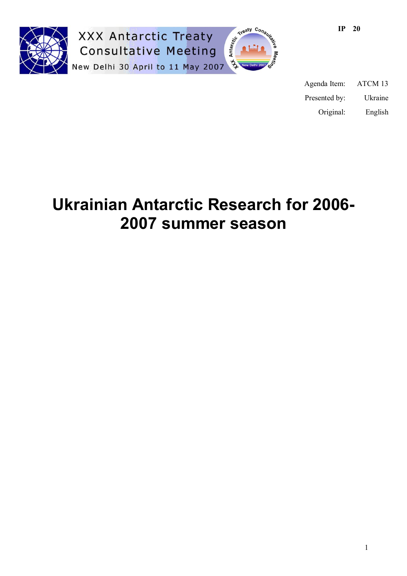

**XXX Antarctic Treaty Consultative Meeting** New Delhi 30 April to 11 May 2007



| Agenda Item:  | ATCM 13 |
|---------------|---------|
| Presented by: | Ukraine |
| Original:     | English |

# **Ukrainian Antarctic Research for 2006- 2007 summer season**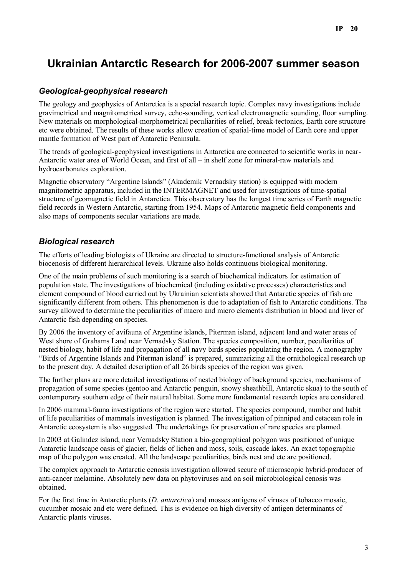## **Ukrainian Antarctic Research for 2006-2007 summer season**

## *Geological-geophysical research*

The geology and geophysics of Antarctica is a special research topic. Complex navy investigations include gravimetrical and magnitometrical survey, echo-sounding, vertical electromagnetic sounding, floor sampling. New materials on morphological-morphometrical peculiarities of relief, break-tectonics, Earth core structure etc were obtained. The results of these works allow creation of spatial-time model of Earth core and upper mantle formation of West part of Antarctic Peninsula.

The trends of geological-geophysical investigations in Antarctica are connected to scientific works in near-Antarctic water area of World Ocean, and first of all – in shelf zone for mineral-raw materials and hydrocarbonates exploration.

Magnetic observatory "Argentine Islands" (Akademik Vernadsky station) is equipped with modern magnitometric apparatus, included in the INTERMAGNET and used for investigations of time-spatial structure of geomagnetic field in Antarctica. This observatory has the longest time series of Earth magnetic field records in Western Antarctic, starting from 1954. Maps of Antarctic magnetic field components and also maps of components secular variations are made.

## *Biological research*

The efforts of leading biologists of Ukraine are directed to structure-functional analysis of Antarctic biocenosis of different hierarchical levels. Ukraine also holds continuous biological monitoring.

One of the main problems of such monitoring is a search of biochemical indicators for estimation of population state. The investigations of biochemical (including oxidative processes) characteristics and element compound of blood carried out by Ukrainian scientists showed that Antarctic species of fish are significantly different from others. This phenomenon is due to adaptation of fish to Antarctic conditions. The survey allowed to determine the peculiarities of macro and micro elements distribution in blood and liver of Antarctic fish depending on species.

By 2006 the inventory of avifauna of Argentine islands, Piterman island, adjacent land and water areas of West shore of Grahams Land near Vernadsky Station. The species composition, number, peculiarities of nested biology, habit of life and propagation of all navy birds species populating the region. A monography "Birds of Argentine Islands and Piterman island" is prepared, summarizing all the ornithological research up to the present day. A detailed description of all 26 birds species of the region was given.

The further plans are more detailed investigations of nested biology of background species, mechanisms of propagation of some species (gentoo and Antarctic penguin, snowy sheathbill, Antarctic skua) to the south of contemporary southern edge of their natural habitat. Some more fundamental research topics are considered.

In 2006 mammal-fauna investigations of the region were started. The species compound, number and habit of life peculiarities of mammals investigation is planned. The investigation of pinniped and cetacean role in Antarctic ecosystem is also suggested. The undertakings for preservation of rare species are planned.

In 2003 at Galindez island, near Vernadsky Station a bio-geographical polygon was positioned of unique Antarctic landscape oasis of glacier, fields of lichen and moss, soils, cascade lakes. An exact topographic map of the polygon was created. All the landscape peculiarities, birds nest and etc are positioned.

The complex approach to Antarctic cenosis investigation allowed secure of microscopic hybrid-producer of anti-cancer melamine. Absolutely new data on phytoviruses and on soil microbiological cenosis was obtained.

For the first time in Antarctic plants (*D. antarctica*) and mosses antigens of viruses of tobacco mosaic, cucumber mosaic and etc were defined. This is evidence on high diversity of antigen determinants of Antarctic plants viruses.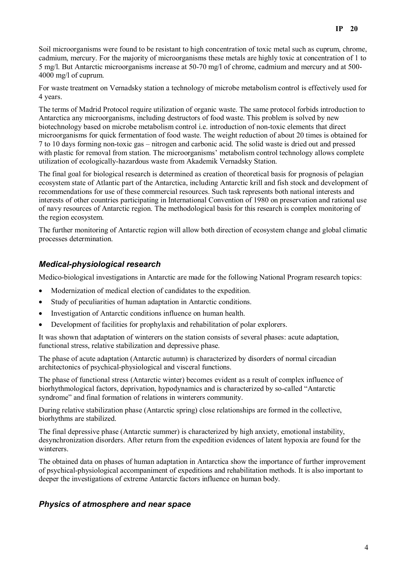Soil microorganisms were found to be resistant to high concentration of toxic metal such as cuprum, chrome, cadmium, mercury. For the majority of microorganisms these metals are highly toxic at concentration of 1 to 5 mg/l. But Antarctic microorganisms increase at 50-70 mg/l of chrome, cadmium and mercury and at 500- 4000 mg/l of cuprum.

For waste treatment on Vernadsky station a technology of microbe metabolism control is effectively used for 4 years.

The terms of Madrid Protocol require utilization of organic waste. The same protocol forbids introduction to Antarctica any microorganisms, including destructors of food waste. This problem is solved by new biotechnology based on microbe metabolism control i.e. introduction of non-toxic elements that direct microorganisms for quick fermentation of food waste. The weight reduction of about 20 times is obtained for 7 to 10 days forming non-toxic gas – nitrogen and carbonic acid. The solid waste is dried out and pressed with plastic for removal from station. The microorganisms' metabolism control technology allows complete utilization of ecologically-hazardous waste from Akademik Vernadsky Station.

The final goal for biological research is determined as creation of theoretical basis for prognosis of pelagian ecosystem state of Atlantic part of the Antarctica, including Antarctic krill and fish stock and development of recommendations for use of these commercial resources. Such task represents both national interests and interests of other countries participating in International Convention of 1980 on preservation and rational use of navy resources of Antarctic region. The methodological basis for this research is complex monitoring of the region ecosystem.

The further monitoring of Antarctic region will allow both direction of ecosystem change and global climatic processes determination.

## *Medical-physiological research*

Medico-biological investigations in Antarctic are made for the following National Program research topics:

- Modernization of medical election of candidates to the expedition.
- Study of peculiarities of human adaptation in Antarctic conditions.
- Investigation of Antarctic conditions influence on human health.
- Development of facilities for prophylaxis and rehabilitation of polar explorers.

It was shown that adaptation of winterers on the station consists of several phases: acute adaptation, functional stress, relative stabilization and depressive phase.

The phase of acute adaptation (Antarctic autumn) is characterized by disorders of normal circadian architectonics of psychical-physiological and visceral functions.

The phase of functional stress (Antarctic winter) becomes evident as a result of complex influence of biorhythmological factors, deprivation, hypodynamics and is characterized by so-called "Antarctic syndrome" and final formation of relations in winterers community.

During relative stabilization phase (Antarctic spring) close relationships are formed in the collective, biorhythms are stabilized.

The final depressive phase (Antarctic summer) is characterized by high anxiety, emotional instability, desynchronization disorders. After return from the expedition evidences of latent hypoxia are found for the winterers.

The obtained data on phases of human adaptation in Antarctica show the importance of further improvement of psychical-physiological accompaniment of expeditions and rehabilitation methods. It is also important to deeper the investigations of extreme Antarctic factors influence on human body.

## *Physics of atmosphere and near space*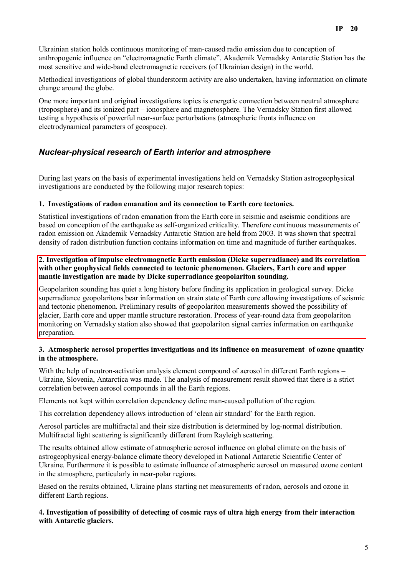Ukrainian station holds continuous monitoring of man-caused radio emission due to conception of anthropogenic influence on "electromagnetic Earth climate". Akademik Vernadsky Antarctic Station has the most sensitive and wide-band electromagnetic receivers (of Ukrainian design) in the world.

Methodical investigations of global thunderstorm activity are also undertaken, having information on climate change around the globe.

One more important and original investigations topics is energetic connection between neutral atmosphere (troposphere) and its ionized part – ionosphere and magnetosphere. The Vernadsky Station first allowed testing a hypothesis of powerful near-surface perturbations (atmospheric fronts influence on electrodynamical parameters of geospace).

## *Nuclear-physical research of Earth interior and atmosphere*

During last years on the basis of experimental investigations held on Vernadsky Station astrogeophysical investigations are conducted by the following major research topics:

#### **1. Investigations of radon emanation and its connection to Earth core tectonics.**

Statistical investigations of radon emanation from the Earth core in seismic and aseismic conditions are based on conception of the earthquake as self-organized criticality. Therefore continuous measurements of radon emission on Akademik Vernadsky Antarctic Station are held from 2003. It was shown that spectral density of radon distribution function contains information on time and magnitude of further earthquakes.

#### **2. Investigation of impulse electromagnetic Earth emission (Dicke superradiance) and its correlation with other geophysical fields connected to tectonic phenomenon. Glaciers, Earth core and upper mantle investigation are made by Dicke superradiance geopolariton sounding.**

Geopolariton sounding has quiet a long history before finding its application in geological survey. Dicke superradiance geopolaritons bear information on strain state of Earth core allowing investigations of seismic and tectonic phenomenon. Preliminary results of geopolariton measurements showed the possibility of glacier, Earth core and upper mantle structure restoration. Process of year-round data from geopolariton monitoring on Vernadsky station also showed that geopolariton signal carries information on earthquake preparation.

#### **3. Atmospheric aerosol properties investigations and its influence on measurement of ozone quantity in the atmosphere.**

With the help of neutron-activation analysis element compound of aerosol in different Earth regions – Ukraine, Slovenia, Antarctica was made. The analysis of measurement result showed that there is a strict correlation between aerosol compounds in all the Earth regions.

Elements not kept within correlation dependency define man-caused pollution of the region.

This correlation dependency allows introduction of 'clean air standard' for the Earth region.

Aerosol particles are multifractal and their size distribution is determined by log-normal distribution. Multifractal light scattering is significantly different from Rayleigh scattering.

The results obtained allow estimate of atmospheric aerosol influence on global climate on the basis of astrogeophysical energy-balance climate theory developed in National Antarctic Scientific Center of Ukraine. Furthermore it is possible to estimate influence of atmospheric aerosol on measured ozone content in the atmosphere, particularly in near-polar regions.

Based on the results obtained, Ukraine plans starting net measurements of radon, aerosols and ozone in different Earth regions.

#### **4. Investigation of possibility of detecting of cosmic rays of ultra high energy from their interaction with Antarctic glaciers.**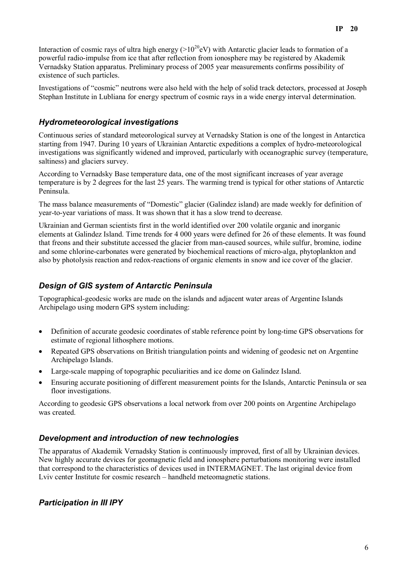Interaction of cosmic rays of ultra high energy  $(>10^{20}$ eV) with Antarctic glacier leads to formation of a powerful radio-impulse from ice that after reflection from ionosphere may be registered by Akademik Vernadsky Station apparatus. Preliminary process of 2005 year measurements confirms possibility of existence of such particles.

Investigations of "cosmic" neutrons were also held with the help of solid track detectors, processed at Joseph Stephan Institute in Lubliana for energy spectrum of cosmic rays in a wide energy interval determination.

## *Hydrometeorological investigations*

Continuous series of standard meteorological survey at Vernadsky Station is one of the longest in Antarctica starting from 1947. During 10 years of Ukrainian Antarctic expeditions a complex of hydro-meteorological investigations was significantly widened and improved, particularly with oceanographic survey (temperature, saltiness) and glaciers survey.

According to Vernadsky Base temperature data, one of the most significant increases of year average temperature is by 2 degrees for the last 25 years. The warming trend is typical for other stations of Antarctic Peninsula.

The mass balance measurements of "Domestic" glacier (Galindez island) are made weekly for definition of year-to-year variations of mass. It was shown that it has a slow trend to decrease.

Ukrainian and German scientists first in the world identified over 200 volatile organic and inorganic elements at Galindez Island. Time trends for 4 000 years were defined for 26 of these elements. It was found that freons and their substitute accessed the glacier from man-caused sources, while sulfur, bromine, iodine and some chlorine-carbonates were generated by biochemical reactions of micro-alga, phytoplankton and also by photolysis reaction and redox-reactions of organic elements in snow and ice cover of the glacier.

## *Design of GIS system of Antarctic Peninsula*

Topographical-geodesic works are made on the islands and adjacent water areas of Argentine Islands Archipelago using modern GPS system including:

- Definition of accurate geodesic coordinates of stable reference point by long-time GPS observations for estimate of regional lithosphere motions.
- Repeated GPS observations on British triangulation points and widening of geodesic net on Argentine Archipelago Islands.
- Large-scale mapping of topographic peculiarities and ice dome on Galindez Island.
- Ensuring accurate positioning of different measurement points for the Islands, Antarctic Peninsula or sea floor investigations.

According to geodesic GPS observations a local network from over 200 points on Argentine Archipelago was created.

## *Development and introduction of new technologies*

The apparatus of Akademik Vernadsky Station is continuously improved, first of all by Ukrainian devices. New highly accurate devices for geomagnetic field and ionosphere perturbations monitoring were installed that correspond to the characteristics of devices used in INTERMAGNET. The last original device from Lviv center Institute for cosmic research – handheld meteomagnetic stations.

## *Participation in III IPY*